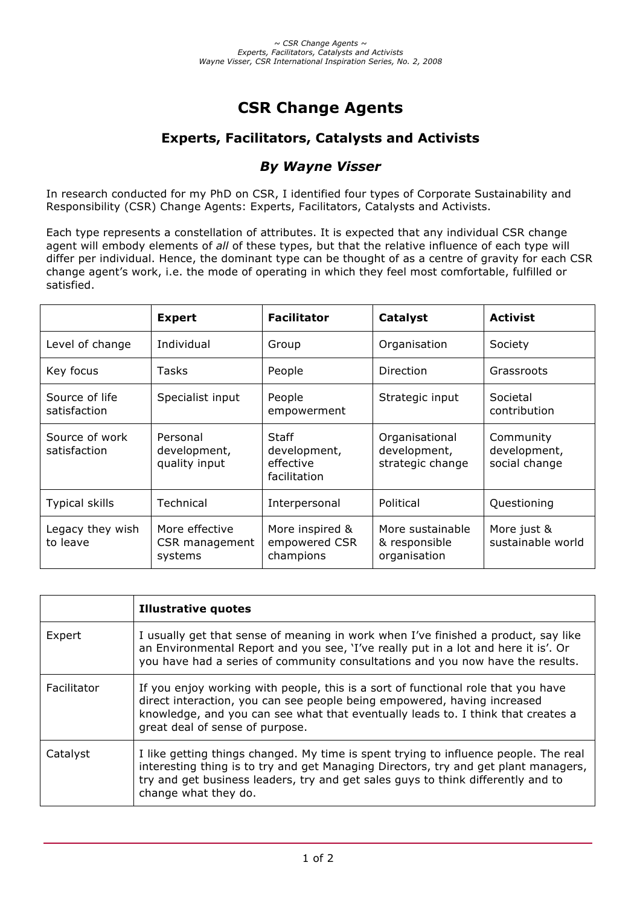# **CSR Change Agents**

## **Experts, Facilitators, Catalysts and Activists**

## *By Wayne Visser*

In research conducted for my PhD on CSR, I identified four types of Corporate Sustainability and Responsibility (CSR) Change Agents: Experts, Facilitators, Catalysts and Activists.

Each type represents a constellation of attributes. It is expected that any individual CSR change agent will embody elements of *all* of these types, but that the relative influence of each type will differ per individual. Hence, the dominant type can be thought of as a centre of gravity for each CSR change agent's work, i.e. the mode of operating in which they feel most comfortable, fulfilled or satisfied.

|                                | <b>Expert</b>                               | <b>Facilitator</b>                                 | Catalyst                                           | <b>Activist</b>                            |
|--------------------------------|---------------------------------------------|----------------------------------------------------|----------------------------------------------------|--------------------------------------------|
| Level of change                | Individual                                  | Group                                              | Organisation                                       | Society                                    |
| Key focus                      | Tasks                                       | People                                             | Direction                                          | Grassroots                                 |
| Source of life<br>satisfaction | Specialist input                            | People<br>empowerment                              | Strategic input                                    | Societal<br>contribution                   |
| Source of work<br>satisfaction | Personal<br>development,<br>quality input   | Staff<br>development,<br>effective<br>facilitation | Organisational<br>development,<br>strategic change | Community<br>development,<br>social change |
| Typical skills                 | Technical                                   | Interpersonal                                      | Political                                          | Questioning                                |
| Legacy they wish<br>to leave   | More effective<br>CSR management<br>systems | More inspired &<br>empowered CSR<br>champions      | More sustainable<br>& responsible<br>organisation  | More just &<br>sustainable world           |

|             | <b>Illustrative quotes</b>                                                                                                                                                                                                                                                              |
|-------------|-----------------------------------------------------------------------------------------------------------------------------------------------------------------------------------------------------------------------------------------------------------------------------------------|
| Expert      | I usually get that sense of meaning in work when I've finished a product, say like<br>an Environmental Report and you see, 'I've really put in a lot and here it is'. Or<br>you have had a series of community consultations and you now have the results.                              |
| Facilitator | If you enjoy working with people, this is a sort of functional role that you have<br>direct interaction, you can see people being empowered, having increased<br>knowledge, and you can see what that eventually leads to. I think that creates a<br>great deal of sense of purpose.    |
| Catalyst    | I like getting things changed. My time is spent trying to influence people. The real<br>interesting thing is to try and get Managing Directors, try and get plant managers,<br>try and get business leaders, try and get sales guys to think differently and to<br>change what they do. |